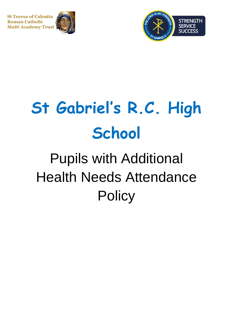**St Teresa of Calcutta Roman Catholic Multi Academy Trust** 





# **St Gabriel's R.C. High School**

# Pupils with Additional Health Needs Attendance **Policy**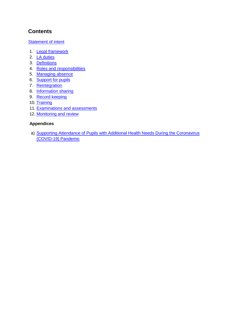# **Contents**

[Statement of intent](#page-2-0)

- 1. Legal framework
- 2. [LA duties](#page-3-0)
- 3. [Definitions](#page-4-0)
- 4. Roles [and responsibilities](#page-4-1)
- 5. [Managing absence](#page-6-0)
- 6. [Support for pupils](#page-7-0)
- 7. [Reintegration](#page-8-0)
- 8. [Information sharing](#page-8-1)
- 9. [Record keeping](#page-9-0)
- 10. [Training](#page-9-1)
- 11. Examinations and assessments
- 12. Monitoring and review

#### **Appendices**

a) Supporting Attendance of Pupils with Additional Health Needs During the Coronavirus [\(COVID-19\) Pandemic](#page-11-0)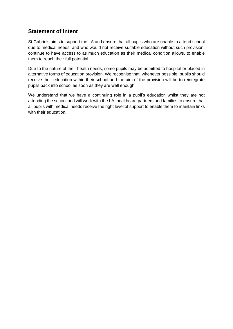# <span id="page-2-0"></span>**Statement of intent**

St Gabriels aims to support the LA and ensure that all pupils who are unable to attend school due to medical needs, and who would not receive suitable education without such provision, continue to have access to as much education as their medical condition allows, to enable them to reach their full potential.

Due to the nature of their health needs, some pupils may be admitted to hospital or placed in alternative forms of education provision. We recognise that, whenever possible, pupils should receive their education within their school and the aim of the provision will be to reintegrate pupils back into school as soon as they are well enough.

We understand that we have a continuing role in a pupil's education whilst they are not attending the school and will work with the LA, healthcare partners and families to ensure that all pupils with medical needs receive the right level of support to enable them to maintain links with their education.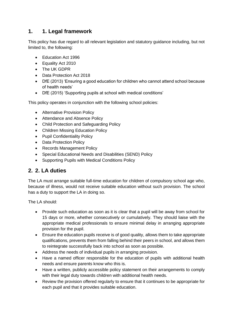# **1. 1. Legal framework**

This policy has due regard to all relevant legislation and statutory guidance including, but not limited to, the following:

- Education Act 1996
- Equality Act 2010
- The UK GDPR
- Data Protection Act 2018
- DfE (2013) 'Ensuring a good education for children who cannot attend school because of health needs'
- DfE (2015) 'Supporting pupils at school with medical conditions'

This policy operates in conjunction with the following school policies:

- Alternative Provision Policy
- Attendance and Absence Policy
- Child Protection and Safeguarding Policy
- Children Missing Education Policy
- Pupil Confidentiality Policy
- Data Protection Policy
- Records Management Policy
- Special Educational Needs and Disabilities (SEND) Policy
- Supporting Pupils with Medical Conditions Policy

#### <span id="page-3-0"></span>**2. 2. LA duties**

The LA must arrange suitable full-time education for children of compulsory school age who, because of illness, would not receive suitable education without such provision. The school has a duty to support the LA in doing so.

The LA should:

- Provide such education as soon as it is clear that a pupil will be away from school for 15 days or more, whether consecutively or cumulatively. They should liaise with the appropriate medical professionals to ensure minimal delay in arranging appropriate provision for the pupil.
- Ensure the education pupils receive is of good quality, allows them to take appropriate qualifications, prevents them from falling behind their peers in school, and allows them to reintegrate successfully back into school as soon as possible.
- Address the needs of individual pupils in arranging provision.
- Have a named officer responsible for the education of pupils with additional health needs and ensure parents know who this is.
- Have a written, publicly accessible policy statement on their arrangements to comply with their legal duty towards children with additional health needs.
- Review the provision offered regularly to ensure that it continues to be appropriate for each pupil and that it provides suitable education.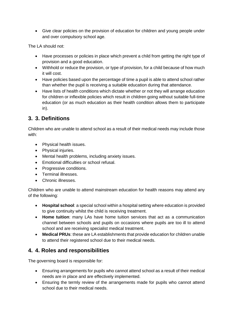• Give clear policies on the provision of education for children and young people under and over compulsory school age.

The LA should not:

- Have processes or policies in place which prevent a child from getting the right type of provision and a good education.
- Withhold or reduce the provision, or type of provision, for a child because of how much it will cost.
- Have policies based upon the percentage of time a pupil is able to attend school rather than whether the pupil is receiving a suitable education during that attendance.
- Have lists of health conditions which dictate whether or not they will arrange education for children or inflexible policies which result in children going without suitable full-time education (or as much education as their health condition allows them to participate in).

# <span id="page-4-0"></span>**3. 3. Definitions**

Children who are unable to attend school as a result of their medical needs may include those with:

- Physical health issues.
- Physical injuries.
- Mental health problems, including anxiety issues.
- Emotional difficulties or school refusal.
- Progressive conditions.
- Terminal illnesses.
- Chronic illnesses.

Children who are unable to attend mainstream education for health reasons may attend any of the following:

- **Hospital school**: a special school within a hospital setting where education is provided to give continuity whilst the child is receiving treatment.
- **Home tuition**: many LAs have home tuition services that act as a communication channel between schools and pupils on occasions where pupils are too ill to attend school and are receiving specialist medical treatment.
- **Medical PRUs**: these are LA establishments that provide education for children unable to attend their registered school due to their medical needs.

# <span id="page-4-1"></span>**4. 4. Roles and responsibilities**

The governing board is responsible for:

- Ensuring arrangements for pupils who cannot attend school as a result of their medical needs are in place and are effectively implemented.
- Ensuring the termly review of the arrangements made for pupils who cannot attend school due to their medical needs.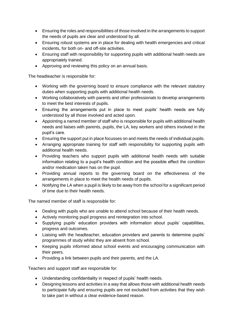- Ensuring the roles and responsibilities of those involved in the arrangements to support the needs of pupils are clear and understood by all.
- Ensuring robust systems are in place for dealing with health emergencies and critical incidents, for both on- and off-site activities.
- Ensuring staff with responsibility for supporting pupils with additional health needs are appropriately trained.
- Approving and reviewing this policy on an annual basis.

The headteacher is responsible for:

- Working with the governing board to ensure compliance with the relevant statutory duties when supporting pupils with additional health needs.
- Working collaboratively with parents and other professionals to develop arrangements to meet the best interests of pupils.
- Ensuring the arrangements put in place to meet pupils' health needs are fully understood by all those involved and acted upon.
- Appointing a named member of staff who is responsible for pupils with additional health needs and liaises with parents, pupils, the LA, key workers and others involved in the pupil's care.
- Ensuring the support put in place focusses on and meets the needs of individual pupils.
- Arranging appropriate training for staff with responsibility for supporting pupils with additional health needs.
- Providing teachers who support pupils with additional health needs with suitable information relating to a pupil's health condition and the possible effect the condition and/or medication taken has on the pupil.
- Providing annual reports to the governing board on the effectiveness of the arrangements in place to meet the health needs of pupils.
- Notifying the LA when a pupil is likely to be away from the school for a significant period of time due to their health needs.

The named member of staff is responsible for:

- Dealing with pupils who are unable to attend school because of their health needs.
- Actively monitoring pupil progress and reintegration into school.
- Supplying pupils' education providers with information about pupils' capabilities, progress and outcomes.
- Liaising with the headteacher, education providers and parents to determine pupils' programmes of study whilst they are absent from school.
- Keeping pupils informed about school events and encouraging communication with their peers.
- Providing a link between pupils and their parents, and the LA.

Teachers and support staff are responsible for:

- Understanding confidentiality in respect of pupils' health needs.
- Designing lessons and activities in a way that allows those with additional health needs to participate fully and ensuring pupils are not excluded from activities that they wish to take part in without a clear evidence-based reason.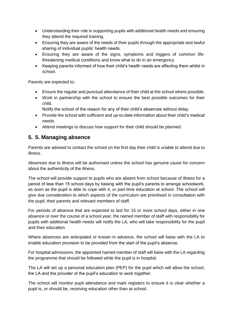- Understanding their role in supporting pupils with additional health needs and ensuring they attend the required training.
- Ensuring they are aware of the needs of their pupils through the appropriate and lawful sharing of individual pupils' health needs.
- Ensuring they are aware of the signs, symptoms and triggers of common lifethreatening medical conditions and know what to do in an emergency.
- Keeping parents informed of how their child's health needs are affecting them whilst in school.

Parents are expected to:

- Ensure the regular and punctual attendance of their child at the school where possible.
- Work in partnership with the school to ensure the best possible outcomes for their child.
	- Notify the school of the reason for any of their child's absences without delay.
- Provide the school with sufficient and up-to-date information about their child's medical needs.
- Attend meetings to discuss how support for their child should be planned.

#### <span id="page-6-0"></span>**5. 5. Managing absence**

Parents are advised to contact the school on the first day their child is unable to attend due to illness.

Absences due to illness will be authorised unless the school has genuine cause for concern about the authenticity of the illness.

The school will provide support to pupils who are absent from school because of illness for a period of less than 15 school days by liaising with the pupil's parents to arrange schoolwork, as soon as the pupil is able to cope with it, or part-time education at school. The school will give due consideration to which aspects of the curriculum are prioritised in consultation with the pupil, their parents and relevant members of staff.

For periods of absence that are expected to last for 15 or more school days, either in one absence or over the course of a school year, the named member of staff with responsibility for pupils with additional health needs will notify the LA, who will take responsibility for the pupil and their education.

Where absences are anticipated or known in advance, the school will liaise with the LA to enable education provision to be provided from the start of the pupil's absence.

For hospital admissions, the appointed named member of staff will liaise with the LA regarding the programme that should be followed while the pupil is in hospital.

The LA will set up a personal education plan (PEP) for the pupil which will allow the school, the LA and the provider of the pupil's education to work together.

The school will monitor pupil attendance and mark registers to ensure it is clear whether a pupil is, or should be, receiving education other than at school.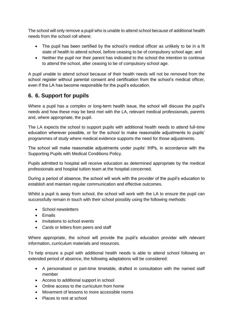The school will only remove a pupil who is unable to attend school because of additional health needs from the school roll where:

- The pupil has been certified by the school's medical officer as unlikely to be in a fit state of health to attend school, before ceasing to be of compulsory school age; and
- Neither the pupil nor their parent has indicated to the school the intention to continue to attend the school, after ceasing to be of compulsory school age.

A pupil unable to attend school because of their health needs will not be removed from the school register without parental consent and certification from the school's medical officer, even if the LA has become responsible for the pupil's education.

# <span id="page-7-0"></span>**6. 6. Support for pupils**

Where a pupil has a complex or long-term health issue, the school will discuss the pupil's needs and how these may be best met with the LA, relevant medical professionals, parents and, where appropriate, the pupil.

The LA expects the school to support pupils with additional health needs to attend full-time education wherever possible, or for the school to make reasonable adjustments to pupils' programmes of study where medical evidence supports the need for those adjustments.

The school will make reasonable adjustments under pupils' IHPs, in accordance with the Supporting Pupils with Medical Conditions Policy.

Pupils admitted to hospital will receive education as determined appropriate by the medical professionals and hospital tuition team at the hospital concerned.

During a period of absence, the school will work with the provider of the pupil's education to establish and maintain regular communication and effective outcomes.

Whilst a pupil is away from school, the school will work with the LA to ensure the pupil can successfully remain in touch with their school possibly using the following methods:

- School newsletters
- Emails
- Invitations to school events
- Cards or letters from peers and staff

Where appropriate, the school will provide the pupil's education provider with relevant information, curriculum materials and resources.

To help ensure a pupil with additional health needs is able to attend school following an extended period of absence, the following adaptations will be considered:

- A personalised or part-time timetable, drafted in consultation with the named staff member
- Access to additional support in school
- Online access to the curriculum from home
- Movement of lessons to more accessible rooms
- Places to rest at school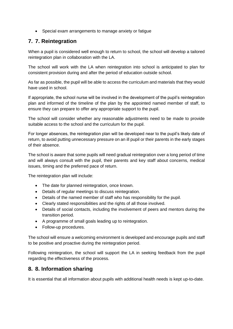• Special exam arrangements to manage anxiety or fatigue

# <span id="page-8-0"></span>**7. 7. Reintegration**

When a pupil is considered well enough to return to school, the school will develop a tailored reintegration plan in collaboration with the LA.

The school will work with the LA when reintegration into school is anticipated to plan for consistent provision during and after the period of education outside school.

As far as possible, the pupil will be able to access the curriculum and materials that they would have used in school.

If appropriate, the school nurse will be involved in the development of the pupil's reintegration plan and informed of the timeline of the plan by the appointed named member of staff, to ensure they can prepare to offer any appropriate support to the pupil.

The school will consider whether any reasonable adjustments need to be made to provide suitable access to the school and the curriculum for the pupil.

For longer absences, the reintegration plan will be developed near to the pupil's likely date of return, to avoid putting unnecessary pressure on an ill pupil or their parents in the early stages of their absence.

The school is aware that some pupils will need gradual reintegration over a long period of time and will always consult with the pupil, their parents and key staff about concerns, medical issues, timing and the preferred pace of return.

The reintegration plan will include:

- The date for planned reintegration, once known.
- Details of regular meetings to discuss reintegration.
- Details of the named member of staff who has responsibility for the pupil.
- Clearly stated responsibilities and the rights of all those involved.
- Details of social contacts, including the involvement of peers and mentors during the transition period.
- A programme of small goals leading up to reintegration.
- Follow-up procedures.

The school will ensure a welcoming environment is developed and encourage pupils and staff to be positive and proactive during the reintegration period.

Following reintegration, the school will support the LA in seeking feedback from the pupil regarding the effectiveness of the process.

#### <span id="page-8-1"></span>**8. 8. Information sharing**

It is essential that all information about pupils with additional health needs is kept up-to-date.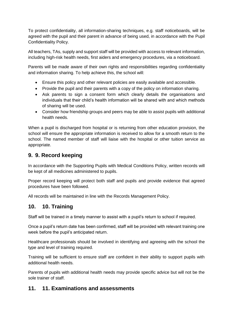To protect confidentiality, all information-sharing techniques, e.g. staff noticeboards, will be agreed with the pupil and their parent in advance of being used, in accordance with the Pupil Confidentiality Policy.

All teachers, TAs, supply and support staff will be provided with access to relevant information, including high-risk health needs, first aiders and emergency procedures, via a noticeboard.

Parents will be made aware of their own rights and responsibilities regarding confidentiality and information sharing. To help achieve this, the school will:

- Ensure this policy and other relevant policies are easily available and accessible.
- Provide the pupil and their parents with a copy of the policy on information sharing.
- Ask parents to sign a consent form which clearly details the organisations and individuals that their child's health information will be shared with and which methods of sharing will be used.
- Consider how friendship groups and peers may be able to assist pupils with additional health needs.

When a pupil is discharged from hospital or is returning from other education provision, the school will ensure the appropriate information is received to allow for a smooth return to the school. The named member of staff will liaise with the hospital or other tuition service as appropriate.

#### <span id="page-9-0"></span>**9. 9. Record keeping**

In accordance with the Supporting Pupils with Medical Conditions Policy, written records will be kept of all medicines administered to pupils.

Proper record keeping will protect both staff and pupils and provide evidence that agreed procedures have been followed.

All records will be maintained in line with the Records Management Policy.

#### <span id="page-9-1"></span>**10. 10. Training**

Staff will be trained in a timely manner to assist with a pupil's return to school if required.

Once a pupil's return date has been confirmed, staff will be provided with relevant training one week before the pupil's anticipated return.

Healthcare professionals should be involved in identifying and agreeing with the school the type and level of training required.

Training will be sufficient to ensure staff are confident in their ability to support pupils with additional health needs.

Parents of pupils with additional health needs may provide specific advice but will not be the sole trainer of staff.

#### **11. 11. Examinations and assessments**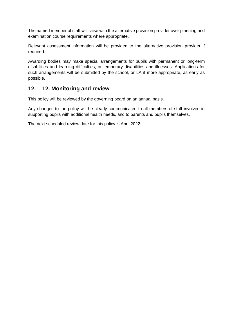The named member of staff will liaise with the alternative provision provider over planning and examination course requirements where appropriate.

Relevant assessment information will be provided to the alternative provision provider if required.

Awarding bodies may make special arrangements for pupils with permanent or long-term disabilities and learning difficulties, or temporary disabilities and illnesses. Applications for such arrangements will be submitted by the school, or LA if more appropriate, as early as possible.

#### **12. 12. Monitoring and review**

This policy will be reviewed by the governing board on an annual basis.

Any changes to the policy will be clearly communicated to all members of staff involved in supporting pupils with additional health needs, and to parents and pupils themselves.

The next scheduled review date for this policy is April 2022.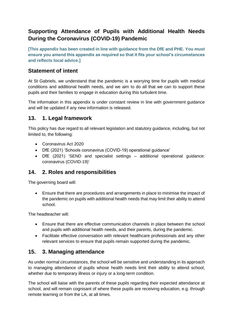# <span id="page-11-0"></span>**Supporting Attendance of Pupils with Additional Health Needs During the Coronavirus (COVID-19) Pandemic**

**[This appendix has been created in line with guidance from the DfE and PHE. You must ensure you amend this appendix as required so that it fits your school's circumstances and reflects local advice.]** 

#### **Statement of intent**

At St Gabriels, we understand that the pandemic is a worrying time for pupils with medical conditions and additional health needs, and we aim to do all that we can to support these pupils and their families to engage in education during this turbulent time.

The information in this appendix is under constant review in line with government guidance and will be updated if any new information is released.

#### **13. 1. Legal framework**

This policy has due regard to all relevant legislation and statutory guidance, including, but not limited to, the following:

- Coronavirus Act 2020
- DfE (2021) 'Schools coronavirus (COVID-19) operational guidance'
- DfE (2021) 'SEND and specialist settings additional operational guidance: coronavirus (COVID-19)'

#### **14. 2. Roles and responsibilities**

The governing board will:

• Ensure that there are procedures and arrangements in place to minimise the impact of the pandemic on pupils with additional health needs that may limit their ability to attend school.

The headteacher will:

- Ensure that there are effective communication channels in place between the school and pupils with additional health needs, and their parents, during the pandemic.
- Facilitate effective conversation with relevant healthcare professionals and any other relevant services to ensure that pupils remain supported during the pandemic.

#### **15. 3. Managing attendance**

As under normal circumstances, the school will be sensitive and understanding in its approach to managing attendance of pupils whose health needs limit their ability to attend school, whether due to temporary illness or injury or a long-term condition.

The school will liaise with the parents of these pupils regarding their expected attendance at school, and will remain cognisant of where these pupils are receiving education, e.g. through remote learning or from the LA, at all times.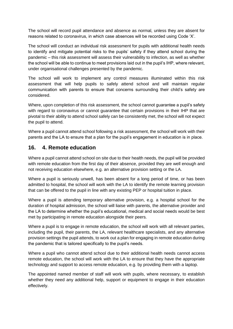The school will record pupil attendance and absence as normal, unless they are absent for reasons related to coronavirus, in which case absences will be recorded using Code 'X'.

The school will conduct an individual risk assessment for pupils with additional health needs to identify and mitigate potential risks to the pupils' safety if they attend school during the pandemic – this risk assessment will assess their vulnerability to infection, as well as whether the school will be able to continue to meet provisions laid out in the pupil's IHP, where relevant, under organisational challenges presented by the pandemic.

The school will work to implement any control measures illuminated within this risk assessment that will help pupils to safely attend school and will maintain regular communication with parents to ensure that concerns surrounding their child's safety are considered.

Where, upon completion of this risk assessment, the school cannot guarantee a pupil's safety with regard to coronavirus or cannot guarantee that certain provisions in their IHP that are pivotal to their ability to attend school safely can be consistently met, the school will not expect the pupil to attend.

Where a pupil cannot attend school following a risk assessment, the school will work with their parents and the LA to ensure that a plan for the pupil's engagement in education is in place.

#### **16. 4. Remote education**

Where a pupil cannot attend school on site due to their health needs, the pupil will be provided with remote education from the first day of their absence, provided they are well enough and not receiving education elsewhere, e.g. an alternative provision setting or the LA.

Where a pupil is seriously unwell, has been absent for a long period of time, or has been admitted to hospital, the school will work with the LA to identify the remote learning provision that can be offered to the pupil in line with any existing PEP or hospital tuition in place.

Where a pupil is attending temporary alternative provision, e.g. a hospital school for the duration of hospital admission, the school will liaise with parents, the alternative provider and the LA to determine whether the pupil's educational, medical and social needs would be best met by participating in remote education alongside their peers.

Where a pupil is to engage in remote education, the school will work with all relevant parties, including the pupil, their parents, the LA, relevant healthcare specialists, and any alternative provision settings the pupil attends, to work out a plan for engaging in remote education during the pandemic that is tailored specifically to the pupil's needs.

Where a pupil who cannot attend school due to their additional health needs cannot access remote education, the school will work with the LA to ensure that they have the appropriate technology and support to access remote education, e.g. by providing them with a laptop.

The appointed named member of staff will work with pupils, where necessary, to establish whether they need any additional help, support or equipment to engage in their education effectively.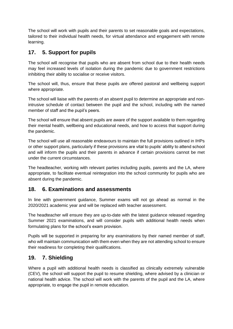The school will work with pupils and their parents to set reasonable goals and expectations, tailored to their individual health needs, for virtual attendance and engagement with remote learning.

# **17. 5. Support for pupils**

The school will recognise that pupils who are absent from school due to their health needs may feel increased levels of isolation during the pandemic due to government restrictions inhibiting their ability to socialise or receive visitors.

The school will, thus, ensure that these pupils are offered pastoral and wellbeing support where appropriate.

The school will liaise with the parents of an absent pupil to determine an appropriate and nonintrusive schedule of contact between the pupil and the school, including with the named member of staff and the pupil's peers.

The school will ensure that absent pupils are aware of the support available to them regarding their mental health, wellbeing and educational needs, and how to access that support during the pandemic.

The school will use all reasonable endeavours to maintain the full provisions outlined in IHPs or other support plans, particularly if these provisions are vital to pupils' ability to attend school and will inform the pupils and their parents in advance if certain provisions cannot be met under the current circumstances.

The headteacher, working with relevant parties including pupils, parents and the LA, where appropriate, to facilitate eventual reintegration into the school community for pupils who are absent during the pandemic.

#### **18. 6. Examinations and assessments**

In line with government guidance, Summer exams will not go ahead as normal in the 2020/2021 academic year and will be replaced with teacher assessment.

The headteacher will ensure they are up-to-date with the latest guidance released regarding Summer 2021 examinations, and will consider pupils with additional health needs when formulating plans for the school's exam provision.

Pupils will be supported in preparing for any examinations by their named member of staff, who will maintain communication with them even when they are not attending school to ensure their readiness for completing their qualifications.

#### **19. 7. Shielding**

Where a pupil with additional health needs is classified as clinically extremely vulnerable (CEV), the school will support the pupil to resume shielding, where advised by a clinician or national health advice. The school will work with the parents of the pupil and the LA, where appropriate, to engage the pupil in remote education.